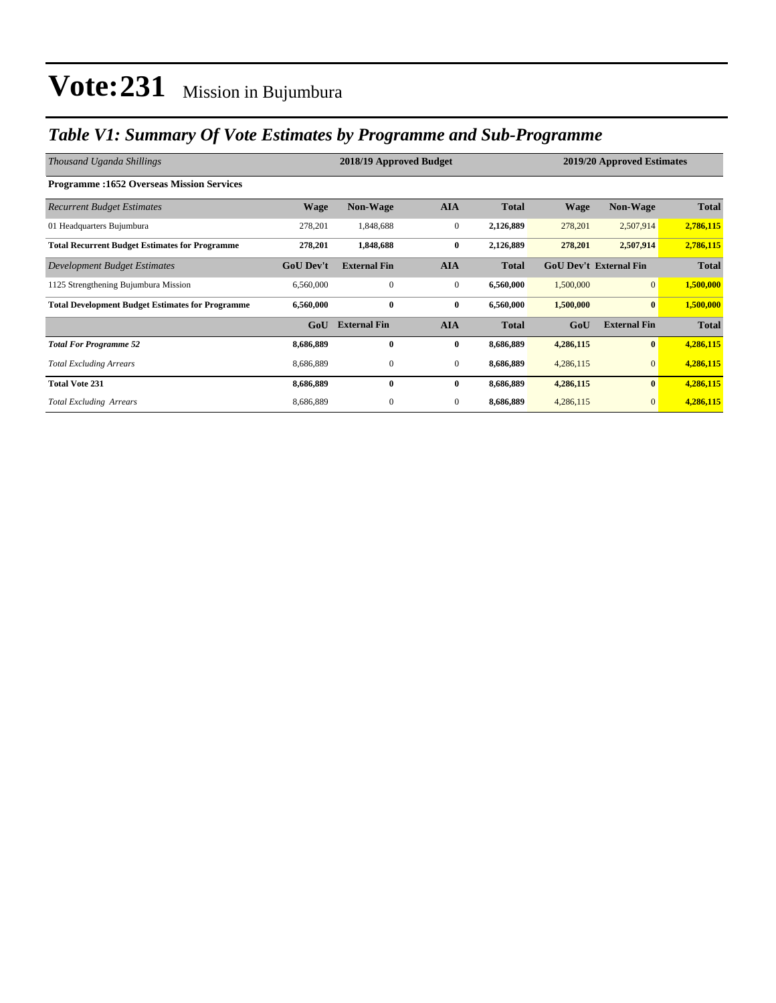### *Table V1: Summary Of Vote Estimates by Programme and Sub-Programme*

| Thousand Uganda Shillings                               |                  | 2018/19 Approved Budget |              | 2019/20 Approved Estimates |                               |                     |              |
|---------------------------------------------------------|------------------|-------------------------|--------------|----------------------------|-------------------------------|---------------------|--------------|
| <b>Programme:1652 Overseas Mission Services</b>         |                  |                         |              |                            |                               |                     |              |
| <b>Recurrent Budget Estimates</b>                       | <b>Wage</b>      | Non-Wage                | <b>AIA</b>   | <b>Total</b>               | <b>Wage</b>                   | Non-Wage            | <b>Total</b> |
| 01 Headquarters Bujumbura                               | 278,201          | 1,848,688               | $\bf{0}$     | 2,126,889                  | 278,201                       | 2,507,914           | 2,786,115    |
| <b>Total Recurrent Budget Estimates for Programme</b>   | 278,201          | 1,848,688               | $\bf{0}$     | 2,126,889                  | 278,201                       | 2,507,914           | 2,786,115    |
| Development Budget Estimates                            | <b>GoU Dev't</b> | <b>External Fin</b>     | <b>AIA</b>   | <b>Total</b>               | <b>GoU Dev't External Fin</b> |                     | <b>Total</b> |
| 1125 Strengthening Bujumbura Mission                    | 6,560,000        | $\mathbf{0}$            | $\mathbf{0}$ | 6,560,000                  | 1,500,000                     | $\overline{0}$      | 1,500,000    |
| <b>Total Development Budget Estimates for Programme</b> | 6,560,000        | $\bf{0}$                | $\bf{0}$     | 6,560,000                  | 1,500,000                     | $\bf{0}$            | 1,500,000    |
|                                                         | GoU              | <b>External Fin</b>     | <b>AIA</b>   | <b>Total</b>               | GoU                           | <b>External Fin</b> | <b>Total</b> |
| <b>Total For Programme 52</b>                           | 8,686,889        | $\bf{0}$                | $\bf{0}$     | 8,686,889                  | 4,286,115                     | $\bf{0}$            | 4,286,115    |
| <b>Total Excluding Arrears</b>                          | 8,686,889        | $\mathbf{0}$            | $\mathbf{0}$ | 8,686,889                  | 4,286,115                     | $\mathbf{0}$        | 4,286,115    |
| <b>Total Vote 231</b>                                   | 8,686,889        | $\bf{0}$                | $\bf{0}$     | 8,686,889                  | 4,286,115                     | $\bf{0}$            | 4,286,115    |
| <b>Total Excluding Arrears</b>                          | 8,686,889        | $\mathbf{0}$            | $\mathbf{0}$ | 8,686,889                  | 4,286,115                     | $\mathbf{0}$        | 4,286,115    |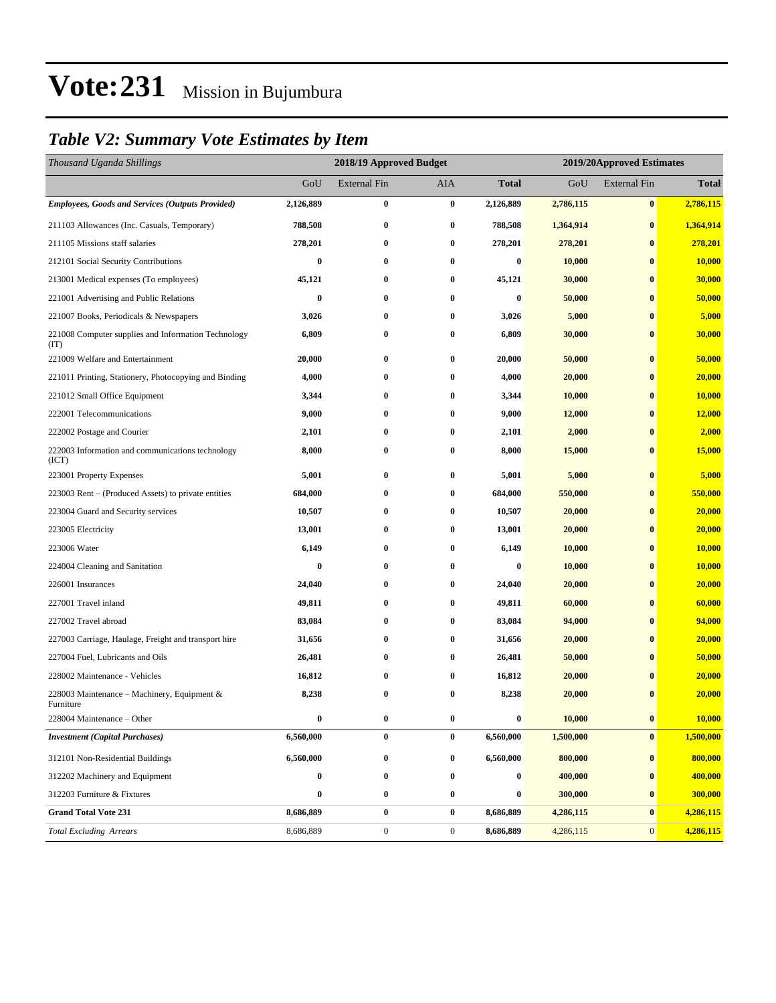### *Table V2: Summary Vote Estimates by Item*

| Thousand Uganda Shillings                                   | 2018/19 Approved Budget |                     |                  |                  | 2019/20Approved Estimates |                     |               |  |
|-------------------------------------------------------------|-------------------------|---------------------|------------------|------------------|---------------------------|---------------------|---------------|--|
|                                                             | GoU                     | <b>External Fin</b> | <b>AIA</b>       | Total            | GoU                       | <b>External Fin</b> | <b>Total</b>  |  |
| <b>Employees, Goods and Services (Outputs Provided)</b>     | 2,126,889               | $\bf{0}$            | $\bf{0}$         | 2,126,889        | 2,786,115                 | $\bf{0}$            | 2,786,115     |  |
| 211103 Allowances (Inc. Casuals, Temporary)                 | 788,508                 | $\bf{0}$            | $\bf{0}$         | 788,508          | 1,364,914                 | $\bf{0}$            | 1,364,914     |  |
| 211105 Missions staff salaries                              | 278,201                 | $\bf{0}$            | $\bf{0}$         | 278,201          | 278,201                   | $\bf{0}$            | 278,201       |  |
| 212101 Social Security Contributions                        | $\bf{0}$                | $\bf{0}$            | $\bf{0}$         | $\bf{0}$         | 10,000                    | $\bf{0}$            | 10,000        |  |
| 213001 Medical expenses (To employees)                      | 45,121                  | $\bf{0}$            | $\bf{0}$         | 45,121           | 30,000                    | $\bf{0}$            | 30,000        |  |
| 221001 Advertising and Public Relations                     | 0                       | $\bf{0}$            | $\bf{0}$         | $\bf{0}$         | 50,000                    | $\bf{0}$            | 50,000        |  |
| 221007 Books, Periodicals & Newspapers                      | 3,026                   | $\bf{0}$            | $\bf{0}$         | 3,026            | 5,000                     | $\bf{0}$            | 5,000         |  |
| 221008 Computer supplies and Information Technology<br>(TT) | 6,809                   | $\bf{0}$            | $\bf{0}$         | 6,809            | 30,000                    | $\bf{0}$            | 30,000        |  |
| 221009 Welfare and Entertainment                            | 20,000                  | $\bf{0}$            | $\bf{0}$         | 20,000           | 50,000                    | $\bf{0}$            | 50,000        |  |
| 221011 Printing, Stationery, Photocopying and Binding       | 4,000                   | $\bf{0}$            | $\bf{0}$         | 4,000            | 20,000                    | $\bf{0}$            | 20,000        |  |
| 221012 Small Office Equipment                               | 3,344                   | $\bf{0}$            | $\bf{0}$         | 3,344            | 10,000                    | $\bf{0}$            | <b>10,000</b> |  |
| 222001 Telecommunications                                   | 9,000                   | $\bf{0}$            | $\bf{0}$         | 9,000            | 12,000                    | $\bf{0}$            | 12,000        |  |
| 222002 Postage and Courier                                  | 2,101                   | $\bf{0}$            | $\bf{0}$         | 2,101            | 2,000                     | $\bf{0}$            | 2,000         |  |
| 222003 Information and communications technology<br>(ICT)   | 8,000                   | 0                   | $\bf{0}$         | 8,000            | 15,000                    | $\bf{0}$            | <b>15,000</b> |  |
| 223001 Property Expenses                                    | 5,001                   | $\bf{0}$            | $\bf{0}$         | 5,001            | 5,000                     | $\bf{0}$            | 5,000         |  |
| 223003 Rent – (Produced Assets) to private entities         | 684,000                 | $\bf{0}$            | $\bf{0}$         | 684,000          | 550,000                   | $\bf{0}$            | 550,000       |  |
| 223004 Guard and Security services                          | 10,507                  | $\bf{0}$            | $\bf{0}$         | 10,507           | 20,000                    | $\bf{0}$            | 20,000        |  |
| 223005 Electricity                                          | 13,001                  | $\bf{0}$            | $\bf{0}$         | 13,001           | 20,000                    | $\bf{0}$            | 20,000        |  |
| 223006 Water                                                | 6,149                   | $\bf{0}$            | $\bf{0}$         | 6,149            | 10,000                    | $\bf{0}$            | 10,000        |  |
| 224004 Cleaning and Sanitation                              | 0                       | $\bf{0}$            | $\bf{0}$         | $\bf{0}$         | 10,000                    | $\bf{0}$            | 10,000        |  |
| 226001 Insurances                                           | 24,040                  | $\bf{0}$            | $\bf{0}$         | 24,040           | 20,000                    | $\bf{0}$            | 20,000        |  |
| 227001 Travel inland                                        | 49,811                  | $\bf{0}$            | $\bf{0}$         | 49,811           | 60,000                    | $\bf{0}$            | 60,000        |  |
| 227002 Travel abroad                                        | 83,084                  | $\bf{0}$            | $\bf{0}$         | 83,084           | 94,000                    | $\bf{0}$            | 94,000        |  |
| 227003 Carriage, Haulage, Freight and transport hire        | 31,656                  | $\bf{0}$            | $\bf{0}$         | 31,656           | 20,000                    | $\bf{0}$            | 20,000        |  |
| 227004 Fuel, Lubricants and Oils                            | 26,481                  | $\bf{0}$            | $\bf{0}$         | 26,481           | 50,000                    | $\bf{0}$            | 50,000        |  |
| 228002 Maintenance - Vehicles                               | 16,812                  | $\bf{0}$            | $\bf{0}$         | 16,812           | 20,000                    | $\bf{0}$            | 20,000        |  |
| 228003 Maintenance – Machinery, Equipment &<br>Furniture    | 8,238                   | $\bf{0}$            | 0                | 8,238            | 20,000                    | $\bf{0}$            | 20,000        |  |
| 228004 Maintenance - Other                                  |                         |                     | 0                | $\bf{0}$         | 10,000                    | $\bf{0}$            | <b>10,000</b> |  |
| <b>Investment (Capital Purchases)</b>                       | 6,560,000               | 0                   | $\bf{0}$         | 6,560,000        | 1,500,000                 | $\bf{0}$            | 1,500,000     |  |
| 312101 Non-Residential Buildings                            | 6,560,000               | $\bf{0}$            | $\bf{0}$         | 6,560,000        | 800,000                   | $\bf{0}$            | 800,000       |  |
| 312202 Machinery and Equipment                              | 0                       | $\boldsymbol{0}$    | $\bf{0}$         | $\boldsymbol{0}$ | 400,000                   | $\bf{0}$            | 400,000       |  |
| 312203 Furniture & Fixtures                                 | 0                       | $\bf{0}$            | $\bf{0}$         | 0                | 300,000                   | $\bf{0}$            | 300,000       |  |
| <b>Grand Total Vote 231</b>                                 | 8,686,889               | $\pmb{0}$           | $\bf{0}$         | 8,686,889        | 4,286,115                 | $\pmb{0}$           | 4,286,115     |  |
| <b>Total Excluding Arrears</b>                              | 8,686,889               | $\boldsymbol{0}$    | $\boldsymbol{0}$ | 8,686,889        | 4,286,115                 | $\mathbf{0}$        | 4,286,115     |  |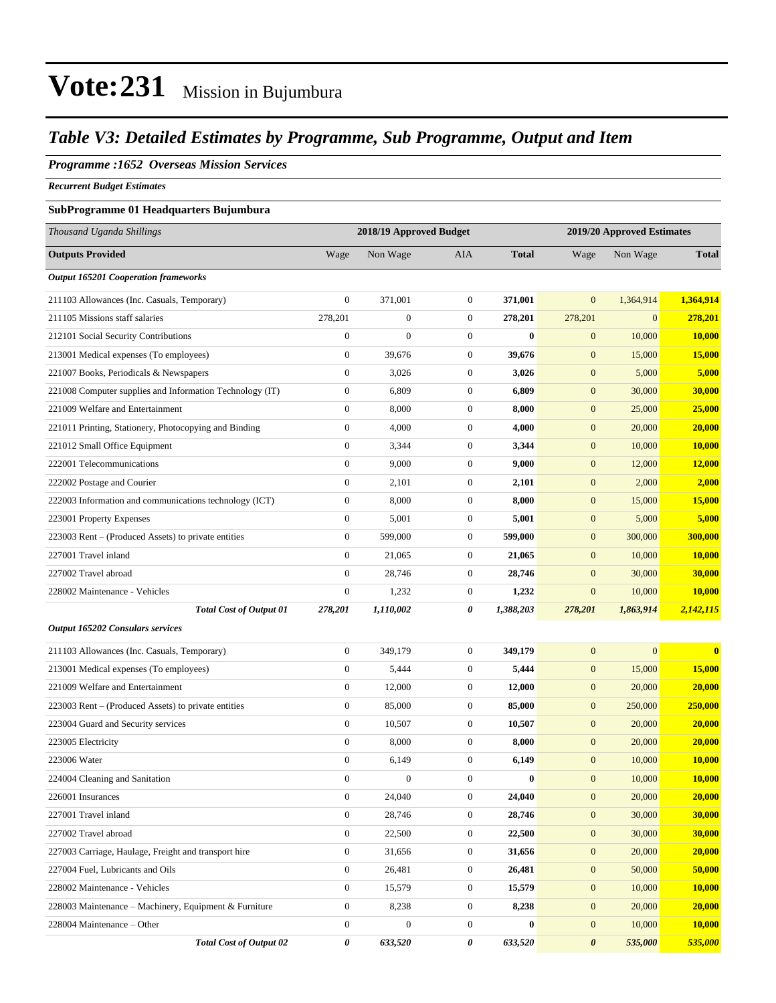### *Table V3: Detailed Estimates by Programme, Sub Programme, Output and Item*

### *Programme :1652 Overseas Mission Services*

*Recurrent Budget Estimates*

#### **SubProgramme 01 Headquarters Bujumbura**

| Thousand Uganda Shillings                                | 2018/19 Approved Budget<br>2019/20 Approved Estimates |                  |                  |              |                       |                |               |
|----------------------------------------------------------|-------------------------------------------------------|------------------|------------------|--------------|-----------------------|----------------|---------------|
| <b>Outputs Provided</b>                                  | Wage                                                  | Non Wage         | <b>AIA</b>       | <b>Total</b> | Wage                  | Non Wage       | <b>Total</b>  |
| <b>Output 165201 Cooperation frameworks</b>              |                                                       |                  |                  |              |                       |                |               |
| 211103 Allowances (Inc. Casuals, Temporary)              | $\overline{0}$                                        | 371,001          | $\mathbf{0}$     | 371,001      | $\mathbf{0}$          | 1,364,914      | 1,364,914     |
| 211105 Missions staff salaries                           | 278,201                                               | $\overline{0}$   | $\mathbf{0}$     | 278,201      | 278,201               | $\overline{0}$ | 278,201       |
| 212101 Social Security Contributions                     | $\boldsymbol{0}$                                      | $\overline{0}$   | $\boldsymbol{0}$ | $\bf{0}$     | $\mathbf{0}$          | 10,000         | 10,000        |
| 213001 Medical expenses (To employees)                   | $\mathbf{0}$                                          | 39,676           | $\boldsymbol{0}$ | 39,676       | $\boldsymbol{0}$      | 15,000         | 15,000        |
| 221007 Books, Periodicals & Newspapers                   | $\boldsymbol{0}$                                      | 3,026            | $\mathbf{0}$     | 3,026        | $\boldsymbol{0}$      | 5,000          | 5,000         |
| 221008 Computer supplies and Information Technology (IT) | $\boldsymbol{0}$                                      | 6,809            | $\mathbf{0}$     | 6,809        | $\boldsymbol{0}$      | 30,000         | <b>30,000</b> |
| 221009 Welfare and Entertainment                         | $\boldsymbol{0}$                                      | 8,000            | $\mathbf{0}$     | 8,000        | $\boldsymbol{0}$      | 25,000         | 25,000        |
| 221011 Printing, Stationery, Photocopying and Binding    | $\boldsymbol{0}$                                      | 4,000            | $\boldsymbol{0}$ | 4,000        | $\mathbf{0}$          | 20,000         | 20,000        |
| 221012 Small Office Equipment                            | $\boldsymbol{0}$                                      | 3,344            | $\boldsymbol{0}$ | 3,344        | $\boldsymbol{0}$      | 10,000         | 10,000        |
| 222001 Telecommunications                                | $\boldsymbol{0}$                                      | 9,000            | $\mathbf{0}$     | 9,000        | $\boldsymbol{0}$      | 12,000         | 12,000        |
| 222002 Postage and Courier                               | $\boldsymbol{0}$                                      | 2,101            | $\mathbf{0}$     | 2,101        | $\boldsymbol{0}$      | 2,000          | 2,000         |
| 222003 Information and communications technology (ICT)   | $\boldsymbol{0}$                                      | 8,000            | $\mathbf{0}$     | 8,000        | $\mathbf{0}$          | 15,000         | 15,000        |
| 223001 Property Expenses                                 | $\boldsymbol{0}$                                      | 5,001            | $\mathbf{0}$     | 5,001        | $\mathbf{0}$          | 5,000          | 5,000         |
| 223003 Rent – (Produced Assets) to private entities      | $\mathbf{0}$                                          | 599,000          | $\mathbf{0}$     | 599,000      | $\boldsymbol{0}$      | 300,000        | 300,000       |
| 227001 Travel inland                                     | $\boldsymbol{0}$                                      | 21,065           | $\mathbf{0}$     | 21,065       | $\mathbf{0}$          | 10,000         | 10,000        |
| 227002 Travel abroad                                     | $\overline{0}$                                        | 28,746           | $\mathbf{0}$     | 28,746       | $\boldsymbol{0}$      | 30,000         | <b>30,000</b> |
| 228002 Maintenance - Vehicles                            | $\boldsymbol{0}$                                      | 1,232            | $\boldsymbol{0}$ | 1,232        | $\mathbf{0}$          | 10,000         | 10,000        |
| <b>Total Cost of Output 01</b>                           | 278,201                                               | 1,110,002        | 0                | 1,388,203    | 278,201               | 1,863,914      | 2,142,115     |
| Output 165202 Consulars services                         |                                                       |                  |                  |              |                       |                |               |
| 211103 Allowances (Inc. Casuals, Temporary)              | $\mathbf{0}$                                          | 349,179          | $\mathbf{0}$     | 349,179      | $\mathbf{0}$          | $\overline{0}$ | $\bf{0}$      |
| 213001 Medical expenses (To employees)                   | $\boldsymbol{0}$                                      | 5,444            | $\mathbf{0}$     | 5,444        | $\mathbf{0}$          | 15,000         | 15,000        |
| 221009 Welfare and Entertainment                         | $\boldsymbol{0}$                                      | 12,000           | $\boldsymbol{0}$ | 12,000       | $\boldsymbol{0}$      | 20,000         | 20,000        |
| 223003 Rent – (Produced Assets) to private entities      | $\boldsymbol{0}$                                      | 85,000           | $\boldsymbol{0}$ | 85,000       | $\boldsymbol{0}$      | 250,000        | 250,000       |
| 223004 Guard and Security services                       | $\boldsymbol{0}$                                      | 10,507           | $\boldsymbol{0}$ | 10,507       | $\boldsymbol{0}$      | 20,000         | 20,000        |
| 223005 Electricity                                       | $\boldsymbol{0}$                                      | 8,000            | $\mathbf{0}$     | 8,000        | $\mathbf{0}$          | 20,000         | 20,000        |
| 223006 Water                                             | $\boldsymbol{0}$                                      | 6,149            | $\mathbf{0}$     | 6,149        | $\mathbf{0}$          | 10,000         | 10,000        |
| 224004 Cleaning and Sanitation                           | $\boldsymbol{0}$                                      | $\boldsymbol{0}$ | $\boldsymbol{0}$ | $\bf{0}$     | $\mathbf{0}$          | 10,000         | 10,000        |
| 226001 Insurances                                        | $\boldsymbol{0}$                                      | 24,040           | $\boldsymbol{0}$ | 24,040       | $\boldsymbol{0}$      | 20,000         | 20,000        |
| 227001 Travel inland                                     | $\boldsymbol{0}$                                      | 28,746           | $\boldsymbol{0}$ | 28,746       | $\boldsymbol{0}$      | 30,000         | 30,000        |
| 227002 Travel abroad                                     | $\boldsymbol{0}$                                      | 22,500           | $\boldsymbol{0}$ | 22,500       | $\boldsymbol{0}$      | 30,000         | 30,000        |
| 227003 Carriage, Haulage, Freight and transport hire     | $\boldsymbol{0}$                                      | 31,656           | $\boldsymbol{0}$ | 31,656       | $\mathbf{0}$          | 20,000         | 20,000        |
| 227004 Fuel, Lubricants and Oils                         | $\overline{0}$                                        | 26,481           | $\boldsymbol{0}$ | 26,481       | $\boldsymbol{0}$      | 50,000         | 50,000        |
| 228002 Maintenance - Vehicles                            | $\boldsymbol{0}$                                      | 15,579           | $\boldsymbol{0}$ | 15,579       | $\boldsymbol{0}$      | 10,000         | 10,000        |
| 228003 Maintenance – Machinery, Equipment & Furniture    | $\boldsymbol{0}$                                      | 8,238            | $\boldsymbol{0}$ | 8,238        | $\boldsymbol{0}$      | 20,000         | 20,000        |
| 228004 Maintenance – Other                               | $\boldsymbol{0}$                                      | $\boldsymbol{0}$ | $\boldsymbol{0}$ | $\bf{0}$     | $\boldsymbol{0}$      | 10,000         | 10,000        |
| <b>Total Cost of Output 02</b>                           | 0                                                     | 633,520          | 0                | 633,520      | $\boldsymbol{\theta}$ | 535,000        | 535,000       |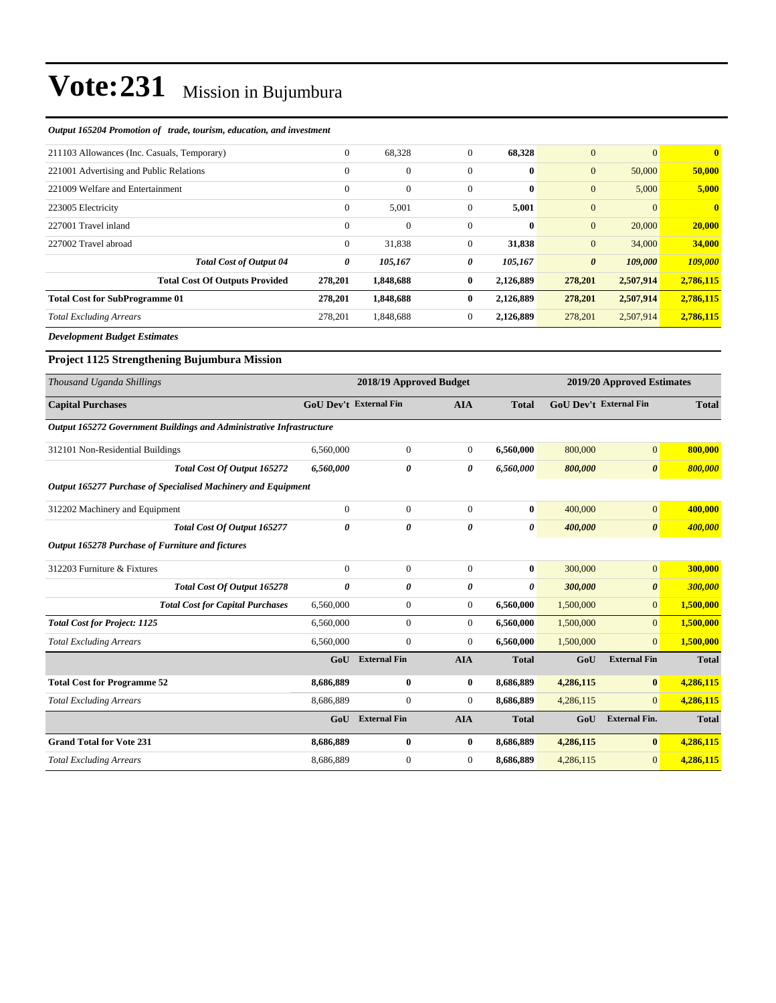#### *Output 165204 Promotion of trade, tourism, education, and investment*

| 211103 Allowances (Inc. Casuals, Temporary) | $\mathbf{0}$   | 68,328           | $\mathbf{0}$ | 68,328       | $\overline{0}$        | $\Omega$  | $\mathbf{0}$ |
|---------------------------------------------|----------------|------------------|--------------|--------------|-----------------------|-----------|--------------|
| 221001 Advertising and Public Relations     | $\theta$       | $\mathbf{0}$     | $\Omega$     | $\bf{0}$     | $\boldsymbol{0}$      | 50,000    | 50,000       |
| 221009 Welfare and Entertainment            | $\Omega$       | $\boldsymbol{0}$ | $\mathbf{0}$ | $\bf{0}$     | $\boldsymbol{0}$      | 5,000     | 5,000        |
| 223005 Electricity                          | $\overline{0}$ | 5,001            | $\mathbf{0}$ | 5,001        | $\mathbf{0}$          | $\Omega$  | $\mathbf{0}$ |
| 227001 Travel inland                        | $\theta$       | $\mathbf{0}$     | $\mathbf{0}$ | $\mathbf{0}$ | $\mathbf{0}$          | 20,000    | 20,000       |
| 227002 Travel abroad                        | $\mathbf{0}$   | 31,838           | $\mathbf{0}$ | 31,838       | $\mathbf{0}$          | 34,000    | 34,000       |
| <b>Total Cost of Output 04</b>              | 0              | 105,167          | 0            | 105,167      | $\boldsymbol{\theta}$ | 109,000   | 109,000      |
| <b>Total Cost Of Outputs Provided</b>       | 278,201        | 1,848,688        | $\bf{0}$     | 2,126,889    | 278,201               | 2,507,914 | 2,786,115    |
| <b>Total Cost for SubProgramme 01</b>       | 278,201        | 1,848,688        | $\bf{0}$     | 2,126,889    | 278,201               | 2,507,914 | 2,786,115    |
| <b>Total Excluding Arrears</b>              | 278,201        | 1,848,688        | $\mathbf{0}$ | 2,126,889    | 278,201               | 2,507,914 | 2,786,115    |
| .                                           |                |                  |              |              |                       |           |              |

*Development Budget Estimates*

#### **Project 1125 Strengthening Bujumbura Mission**

| Thousand Uganda Shillings                        |                                                                      |                               |                     | 2018/19 Approved Budget |              |           |                               | 2019/20 Approved Estimates |  |  |
|--------------------------------------------------|----------------------------------------------------------------------|-------------------------------|---------------------|-------------------------|--------------|-----------|-------------------------------|----------------------------|--|--|
| <b>Capital Purchases</b>                         |                                                                      | <b>GoU Dev't External Fin</b> |                     | <b>AIA</b>              | <b>Total</b> |           | <b>GoU Dev't External Fin</b> | <b>Total</b>               |  |  |
|                                                  | Output 165272 Government Buildings and Administrative Infrastructure |                               |                     |                         |              |           |                               |                            |  |  |
| 312101 Non-Residential Buildings                 |                                                                      | 6,560,000                     | $\boldsymbol{0}$    | $\mathbf{0}$            | 6,560,000    | 800,000   | $\mathbf{0}$                  | 800,000                    |  |  |
|                                                  | <b>Total Cost Of Output 165272</b>                                   | 6,560,000                     | 0                   | 0                       | 6,560,000    | 800,000   | $\boldsymbol{\theta}$         | 800,000                    |  |  |
|                                                  | Output 165277 Purchase of Specialised Machinery and Equipment        |                               |                     |                         |              |           |                               |                            |  |  |
| 312202 Machinery and Equipment                   |                                                                      | $\theta$                      | $\mathbf{0}$        | $\overline{0}$          | $\bf{0}$     | 400,000   | $\mathbf{0}$                  | 400,000                    |  |  |
|                                                  | Total Cost Of Output 165277                                          | $\theta$                      | 0                   | 0                       | $\theta$     | 400,000   | $\boldsymbol{\theta}$         | 400,000                    |  |  |
| Output 165278 Purchase of Furniture and fictures |                                                                      |                               |                     |                         |              |           |                               |                            |  |  |
| 312203 Furniture & Fixtures                      |                                                                      | $\theta$                      | $\mathbf{0}$        | $\Omega$                | $\bf{0}$     | 300,000   | $\overline{0}$                | 300,000                    |  |  |
|                                                  | Total Cost Of Output 165278                                          | $\theta$                      | 0                   | 0                       | $\theta$     | 300,000   | $\boldsymbol{\theta}$         | 300,000                    |  |  |
|                                                  | <b>Total Cost for Capital Purchases</b>                              | 6,560,000                     | $\overline{0}$      | $\overline{0}$          | 6,560,000    | 1,500,000 | $\overline{0}$                | 1,500,000                  |  |  |
| <b>Total Cost for Project: 1125</b>              |                                                                      | 6,560,000                     | $\Omega$            | $\Omega$                | 6,560,000    | 1,500,000 | $\Omega$                      | 1,500,000                  |  |  |
| <b>Total Excluding Arrears</b>                   |                                                                      | 6,560,000                     | $\overline{0}$      | $\overline{0}$          | 6,560,000    | 1,500,000 | $\Omega$                      | 1,500,000                  |  |  |
|                                                  |                                                                      | GoU                           | <b>External Fin</b> | <b>AIA</b>              | <b>Total</b> | GoU       | <b>External Fin</b>           | <b>Total</b>               |  |  |
| <b>Total Cost for Programme 52</b>               |                                                                      | 8,686,889                     | $\bf{0}$            | $\bf{0}$                | 8,686,889    | 4,286,115 | $\bf{0}$                      | 4,286,115                  |  |  |
| <b>Total Excluding Arrears</b>                   |                                                                      | 8,686,889                     | $\overline{0}$      | $\overline{0}$          | 8,686,889    | 4,286,115 | $\Omega$                      | 4,286,115                  |  |  |
|                                                  |                                                                      | GoU                           | <b>External Fin</b> | <b>AIA</b>              | <b>Total</b> | GoU       | <b>External Fin.</b>          | <b>Total</b>               |  |  |
| <b>Grand Total for Vote 231</b>                  |                                                                      | 8,686,889                     | $\bf{0}$            | $\bf{0}$                | 8,686,889    | 4,286,115 | $\bf{0}$                      | 4,286,115                  |  |  |
| <b>Total Excluding Arrears</b>                   |                                                                      | 8,686,889                     | $\overline{0}$      | $\overline{0}$          | 8,686,889    | 4,286,115 | $\Omega$                      | 4,286,115                  |  |  |